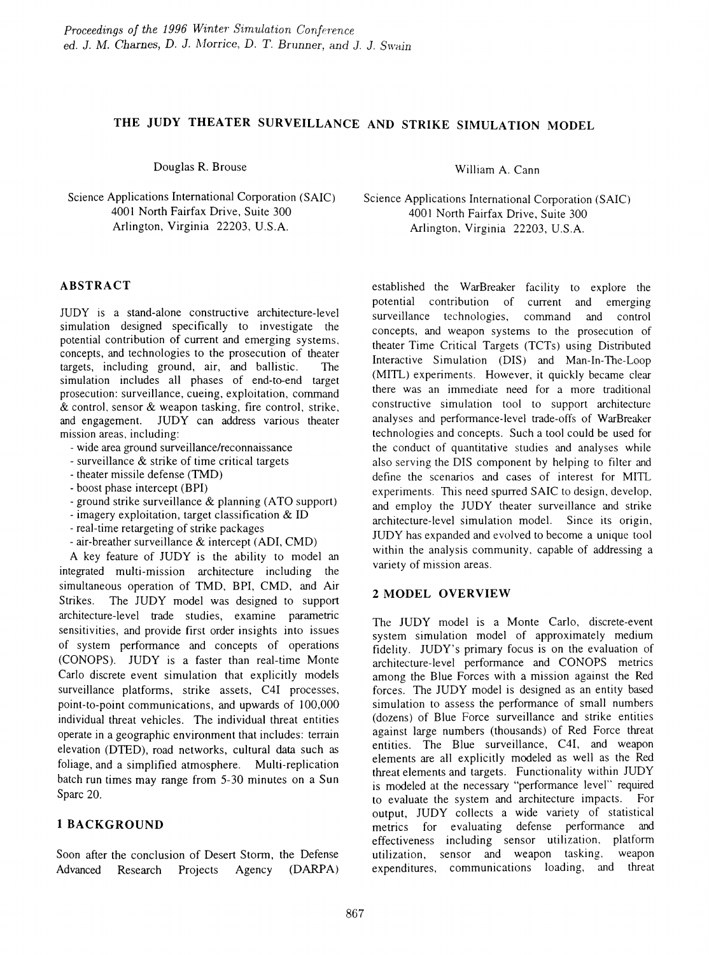# THE JUDY THEATER SURVEILLANCE AND STRIKE SIMULATION MODEL

Douglas R. Brouse

Science Applications International Corporation (SAIC) 4001 North Fairfax Drive, Suite 300 Arlington, Virginia 22203, U.S.A.

## ABSTRACT

JUDY is a stand-alone constructive architecture-level simulation designed specifically to investigate the potential contribution of current and emerging systems, concepts, and technologies to the prosecution of theater targets, including ground, air, and ballistic. The simulation includes all phases of end-to-end target prosecution: surveillance, cueing, exploitation, command & control, sensor & weapon tasking, fire control, strike, and engagement. JUDY can address various theater mission areas, including:

- wide area ground surveillance/reconnaissance
- surveillance & strike of time critical targets
- theater missile defense (TMD)
- boost phase intercept (BPI)
- ground strike surveillance & planning (ATO support)
- imagery exploitation, target classification & ID
- real-time retargeting of strike packages
- air-breather surveillance & intercept (ADI, CMD)

A key feature of JUDY is the ability to model an integrated multi-mission architecture including the simultaneous operation of TMD, BPI, CMD, and Air Strikes. The JUDY model was designed to support architecture-level trade studies, examine parametric sensitivities, and provide first order insights into issues of system performance and concepts of operations (CONOPS). JUDY is a faster than real-time Monte Carlo discrete event simulation that explicitly models surveillance platforms, strike assets, C41 processes, point-to-point communications, and upwards of 100,000 individual threat vehicles. The individual threat entities operate in a geographic environment that includes: terrain elevation (DTED), road networks, cultural data such as foliage, and a simplified atmosphere. Multi-replication batch run times may range from 5-30 minutes on a Sun Sparc 20.

## 1 BACKGROUND

Soon after the conclusion of Desert Storm, the Defense Advanced Research Projects Agency (DARPA) William A. Cann

Science Applications International Corporation (SAIC) 4001 North Fairfax Drive, Suite 300 Arlington, Virginia 22203, U.S.A.

established the WarBreaker facility to explore the potential contribution of current and emerging surveillance technologies, command and control concepts, and weapon systems to the prosecution of theater Time Critical Targets (TCTs) using Distributed Interactive Simulation (DIS) and Man-In-The-Loop (MITL) experiments. However, it quickly became clear there was an immediate need for a more traditional constructive simulation tool to support architecture analyses and performance-level trade-offs of WarBreaker technologies and concepts. Such a tool could be used for the conduct of quantitative studies and analyses while also serving the DIS component by helping to filter and define the scenarios and cases of interest for MITL experiments. This need spurred SAIC to design, develop, and employ the JUDY theater surveillance and strike architecture-level simulation model. Since its origin, JUDY has expanded and evolved to become a unique tool within the analysis community, capable of addressing a variety of mission areas.

## 2 MODEL OVERVIEW

The JUDY model is a Monte Carlo, discrete-event system simulation model of approximately medium fidelity. JUDY's primary focus is on the evaluation of architecture-level performance and CONOPS metrics among the Blue Forces with a mission against the Red forces. The JUDY model is designed as an entity based simulation to assess the performance of small numbers (dozens) of Blue Force surveillance and strike entities against large numbers (thousands) of Red Force threat entities. The Blue surveillance, C4I, and weapon elements are all explicitly modeled as well as the Red threat elements and targets. Functionality within JUDY is modeled at the necessary "performance level" required to evaluate the system and architecture impacts. For output, JUDY collects a wide variety of statistical metrics for evaluating defense performance and effectiveness including sensor utilization, platform utilization, sensor and weapon tasking, weapon expenditures, communications loading, and threat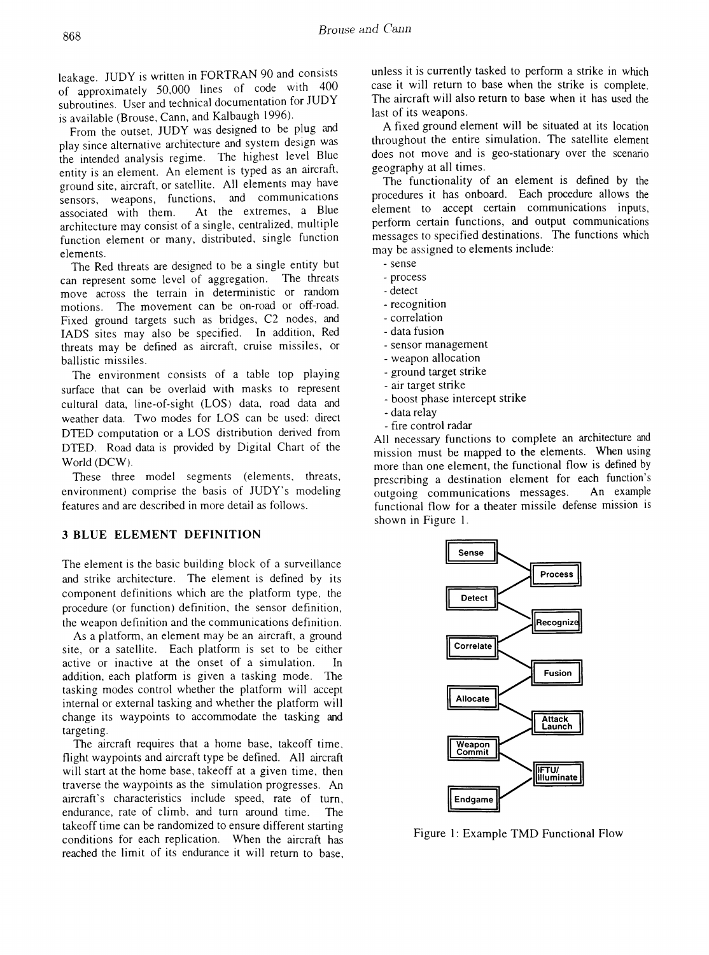leakage. JUDY is written in FORTRAN 90 and consists of approximately 50,000 lines of code with 400 subroutines. User and technical documentation for JUDY is available (Brouse, Cann, and Kalbaugh 1996).

From the outset, JUDY was designed to be plug and play since alternative architecture and system design was the intended analysis regime. The highest level Blue entity is an element. An element is typed as an aircraft, ground site, aircraft, or satellite. All elements may have sensors, weapons, functions, and communications associated with them. At the extremes, a Blue architecture may consist of a single, centralized, multiple function element or many, distributed, single function elements.

The Red threats are designed to be a single entity but can represent some level of aggregation. The threats move across the terrain in deterministic or random motions. The movement can be on-road or off-road. Fixed ground targets such as bridges, C2 nodes, and lADS sites may also be specified. In addition, Red threats may be defined as aircraft, cruise missiles, or ballistic missiles.

The environment consists of a table top playing surface that can be overlaid with masks to represent cultural data, line-of-sight (LOS) data, road data and weather data. Two modes for LOS can be used: direct DTED computation or a LOS distribution derived from DTED. Road data is provided by Digital Chart of the World (DCW).

These three model segments (elements, threats, environment) comprise the basis of JUDY's modeling features and are described in more detail as follows.

#### 3 BLUE ELEMENT DEFINITION

The element is the basic building block of a surveillance and strike architecture. The element is defined by its component definitions which are the platform type, the procedure (or function) definition, the sensor definition, the weapon definition and the communications definition.

As a platform, an element may be an aircraft, a ground site, or a satellite. Each platform is set to be either active or inactive at the onset of a simulation. In addition, each platform is given a tasking mode. The tasking modes control whether the platform will accept internal or external tasking and whether the platform will change its waypoints to accommodate the tasking and targeting.

The aircraft requires that a home base, takeoff time, flight waypoints and aircraft type be defined. All aircraft will start at the home base, takeoff at a given time, then traverse the waypoints as the simulation progresses. An aircraft's characteristics include speed, rate of turn, endurance, rate of climb, and turn around time. The takeoff time can be randomized to ensure different starting conditions for each replication. When the aircraft has reached the limit of its endurance it will return to base, unless it is currently tasked to perform a strike in which case it will return to base when the strike is complete. The aircraft will also return to base when it has used the last of its weapons.

A fixed ground element will be situated at its location throughout the entire simulation. The satellite element does not move and is geo-stationary over the scenario geography at all times.

The functionality of an element is defmed by the procedures it has onboard. Each procedure allows the element to accept certain communications inputs, perform certain functions, and output communications messages to specified destinations. The functions which may be assigned to elements include:

- sense
- process
- detect
- recognition
- correlation
- data fusion
- sensor management
- weapon allocation
- ground target strike
- air target strike
- boost phase in tercept strike
- data relay
- fire control radar

All necessary functions to complete an architecture and mission must be mapped to the elements. When using more than one element, the functional flow is defined by prescribing a destination element for each function's<br>outgoing communications messages. An example outgoing communications messages. functional flow for a theater missile defense mission is shown in Figure 1.



Figure 1: Example TMD Functional Flow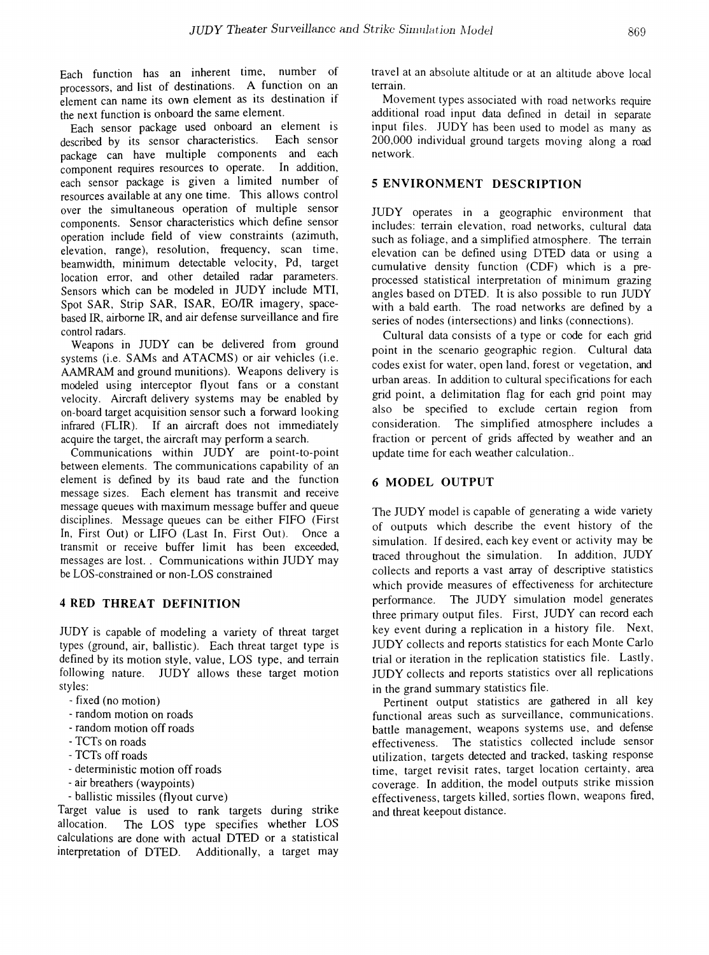Each function has an inherent time, number of processors, and list of destinations. A function on an element can name its own element as its destination if the next function is onboard the same element.

Each sensor package used onboard an element is described by its sensor characteristics. Each sensor package can have multiple components and each component requires resources to operate. In addition, each sensor package is given a limited number of resources available at anyone time. This allows control over the simultaneous operation of multiple sensor components. Sensor characteristics which define sensor operation include field of view constraints (azimuth, elevation, range), resolution, frequency, scan time, beamwidth, minimum detectable velocity, Pd, target location error, and other detailed radar parameters. Sensors which can be modeled in JUDY include MTI, Spot SAR, Strip SAR, ISAR, EO/IR imagery, spacebased IR, airborne IR, and air defense surveillance and fire control radars.

Weapons in JUDY can be delivered from ground systems (i.e. SAMs and ATACMS) or air vehicles (i.e. AAMRAM and ground munitions). Weapons delivery is modeled using interceptor flyout fans or a constant velocity. Aircraft delivery systems may be enabled by on-board target acquisition sensor such a forward looking infrared (FLIR). If an aircraft does not immediately acquire the target, the aircraft may perform a search.

Communications within JUDY are point-to-point between elements. The communications capability of an element is defined by its baud rate and the function message sizes. Each element has transmit and receive message queues with maximum message buffer and queue disciplines. Message queues can be either FIFO (First In, First Out) or LIFO (Last In, First Out). Once a transmit or receive buffer limit has been exceeded, messages are lost.. Communications within JUDY may be LOS-constrained or non-LOS constrained

## 4 RED THREAT DEFINITION

JUDY is capable of modeling a variety of threat target types (ground, air, ballistic). Each threat target type is defined by its motion style, value, LOS type, and terrain following nature. JUDY allows these target motion styles:

- fixed (no motion)
- random motion on roads
- random motion off roads
- TCTs on roads
- TCTs off roads
- deterministic motion off roads
- air breathers (waypoints)
- ballistic missiles (flyout curve)

Target value is used to rank targets during strike allocation. The LOS type specifies whether LOS calculations are done with actual DTED or a statistical interpretation of DTED. Additionally, a target may travel at an absolute altitude or at an altitude above local terrain.

Movement types associated with road networks require additional road input data defined in detail in separate input files. JUDY has been used to model as many as 200,000 individual ground targets moving along a road network.

## 5 ENVIRONMENT DESCRIPTION

JUDY operates in a geographic environment that includes: terrain elevation, road networks, cultural data such as foliage, and a simplified atmosphere. The terrain elevation can be defined using DTED data or using a cumulative density function (CDF) which is a preprocessed statistical interpretation of minimum grazing angles based on DTED. It is also possible to run JUDY with a bald earth. The road networks are defmed by a series of nodes (intersections) and links (connections).

Cultural data consists of a type or code for each grid point in the scenario geographic region. Cultural data codes exist for water, open land, forest or vegetation, and urban areas. In addition to cultural specifications for each grid point, a delimitation flag for each grid point may also be specified to exclude certain region from consideration. The simplified atmosphere includes a fraction or percent of grids affected by weather and an update time for each weather calculation..

## 6 MODEL OUTPUT

The JUDY model is capable of generating a wide variety of outputs which describe the event history of the simulation. If desired, each key event or activity may be traced throughout the simulation. In addition, JUDY collects and reports a vast array of descriptive statistics which provide measures of effectiveness for architecture perfonnance. The JUDY simulation model generates three primary output files. First, JUDY can record each key event during a replication in a history file. Next, JUDY collects and reports statistics for each Monte Carlo trial or iteration in the replication statistics file. Lastly, JUDY collects and reports statistics over all replications in the grand summary statistics file.

Pertinent output statistics are gathered in all key functional areas such as surveillance, communications, battle management, weapons systems use, and defense effectiveness. The statistics collected include sensor utilization, targets detected and tracked, tasking response time, target revisit rates, target location certainty, area coverage. In addition, the model outputs strike mission effectiveness, targets killed, sorties flown, weapons frred, and threat keepout distance.